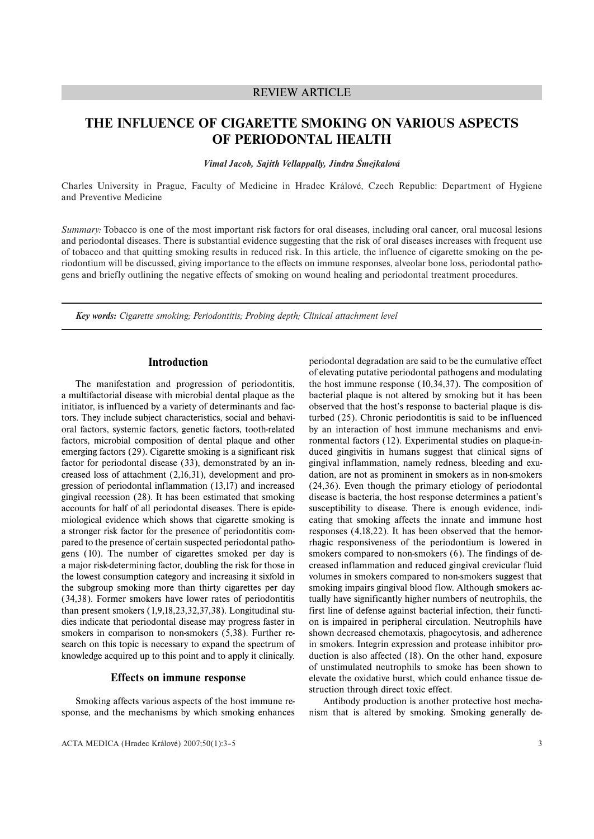# REVIEW ARTICLE

# **THE INFLUENCE OF CIGARETTE SMOKING ON VARIOUS ASPECTS OF PERIODONTAL HEALTH**

*Vimal Jacob, Sajith Vellappally, Jindra Šmejkalová*

Charles University in Prague, Faculty of Medicine in Hradec Králové, Czech Republic: Department of Hygiene and Preventive Medicine

*Summary:* Tobacco is one of the most important risk factors for oral diseases, including oral cancer, oral mucosal lesions and periodontal diseases. There is substantial evidence suggesting that the risk of oral diseases increases with frequent use of tobacco and that quitting smoking results in reduced risk. In this article, the influence of cigarette smoking on the periodontium will be discussed, giving importance to the effects on immune responses, alveolar bone loss, periodontal pathogens and briefly outlining the negative effects of smoking on wound healing and periodontal treatment procedures.

*Key words: Cigarette smoking; Periodontitis; Probing depth; Clinical attachment level*

## **Introduction**

The manifestation and progression of periodontitis, a multifactorial disease with microbial dental plaque as the initiator, is influenced by a variety of determinants and factors. They include subject characteristics, social and behavioral factors, systemic factors, genetic factors, tooth-related factors, microbial composition of dental plaque and other emerging factors (29). Cigarette smoking is a significant risk factor for periodontal disease (33), demonstrated by an increased loss of attachment (2,16,31), development and progression of periodontal inflammation (13,17) and increased gingival recession (28). It has been estimated that smoking accounts for half of all periodontal diseases. There is epidemiological evidence which shows that cigarette smoking is a stronger risk factor for the presence of periodontitis compared to the presence of certain suspected periodontal pathogens (10). The number of cigarettes smoked per day is a major risk-determining factor, doubling the risk for those in the lowest consumption category and increasing it sixfold in the subgroup smoking more than thirty cigarettes per day (34,38). Former smokers have lower rates of periodontitis than present smokers (1,9,18,23,32,37,38). Longitudinal studies indicate that periodontal disease may progress faster in smokers in comparison to non-smokers (5,38). Further research on this topic is necessary to expand the spectrum of knowledge acquired up to this point and to apply it clinically.

## **Effects on immune response**

Smoking affects various aspects of the host immune response, and the mechanisms by which smoking enhances

ACTA MEDICA (Hradec Králové) 2007;50(1):3–5

periodontal degradation are said to be the cumulative effect of elevating putative periodontal pathogens and modulating the host immune response (10,34,37). The composition of bacterial plaque is not altered by smoking but it has been observed that the host's response to bacterial plaque is disturbed (25). Chronic periodontitis is said to be influenced by an interaction of host immune mechanisms and environmental factors (12). Experimental studies on plaque-induced gingivitis in humans suggest that clinical signs of gingival inflammation, namely redness, bleeding and exudation, are not as prominent in smokers as in non-smokers (24,36). Even though the primary etiology of periodontal disease is bacteria, the host response determines a patient's susceptibility to disease. There is enough evidence, indicating that smoking affects the innate and immune host responses (4,18,22). It has been observed that the hemorrhagic responsiveness of the periodontium is lowered in smokers compared to non-smokers (6). The findings of decreased inflammation and reduced gingival crevicular fluid volumes in smokers compared to non-smokers suggest that smoking impairs gingival blood flow. Although smokers actually have significantly higher numbers of neutrophils, the first line of defense against bacterial infection, their function is impaired in peripheral circulation. Neutrophils have shown decreased chemotaxis, phagocytosis, and adherence in smokers. Integrin expression and protease inhibitor production is also affected (18). On the other hand, exposure of unstimulated neutrophils to smoke has been shown to elevate the oxidative burst, which could enhance tissue destruction through direct toxic effect.

Antibody production is another protective host mechanism that is altered by smoking. Smoking generally de-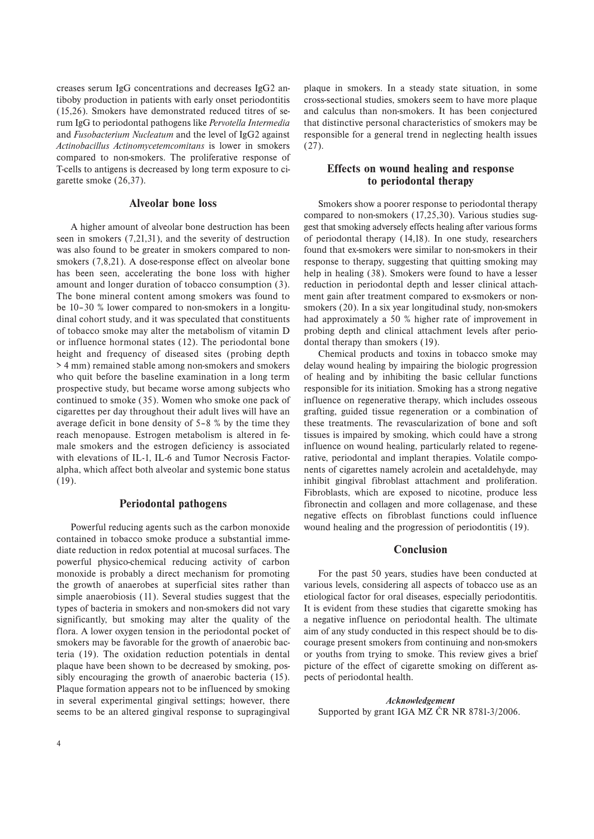creases serum IgG concentrations and decreases IgG2 antiboby production in patients with early onset periodontitis (15,26). Smokers have demonstrated reduced titres of serum IgG to periodontal pathogens like *Pervotella Intermedia* and *Fusobacterium Nucleatum* and the level of IgG2 against *Actinobacillus Actinomycetemcomitans* is lower in smokers compared to non-smokers. The proliferative response of T-cells to antigens is decreased by long term exposure to cigarette smoke (26,37).

## **Alveolar bone loss**

A higher amount of alveolar bone destruction has been seen in smokers (7,21,31), and the severity of destruction was also found to be greater in smokers compared to nonsmokers (7,8,21). A dose-response effect on alveolar bone has been seen, accelerating the bone loss with higher amount and longer duration of tobacco consumption (3). The bone mineral content among smokers was found to be 10–30 % lower compared to non-smokers in a longitudinal cohort study, and it was speculated that constituents of tobacco smoke may alter the metabolism of vitamin D or influence hormonal states (12). The periodontal bone height and frequency of diseased sites (probing depth > 4 mm) remained stable among non-smokers and smokers who quit before the baseline examination in a long term prospective study, but became worse among subjects who continued to smoke (35). Women who smoke one pack of cigarettes per day throughout their adult lives will have an average deficit in bone density of 5–8 % by the time they reach menopause. Estrogen metabolism is altered in female smokers and the estrogen deficiency is associated with elevations of IL-1, IL-6 and Tumor Necrosis Factoralpha, which affect both alveolar and systemic bone status (19).

# **Periodontal pathogens**

Powerful reducing agents such as the carbon monoxide contained in tobacco smoke produce a substantial immediate reduction in redox potential at mucosal surfaces. The powerful physico-chemical reducing activity of carbon monoxide is probably a direct mechanism for promoting the growth of anaerobes at superficial sites rather than simple anaerobiosis (11). Several studies suggest that the types of bacteria in smokers and non-smokers did not vary significantly, but smoking may alter the quality of the flora. A lower oxygen tension in the periodontal pocket of smokers may be favorable for the growth of anaerobic bacteria (19). The oxidation reduction potentials in dental plaque have been shown to be decreased by smoking, possibly encouraging the growth of anaerobic bacteria (15). Plaque formation appears not to be influenced by smoking in several experimental gingival settings; however, there seems to be an altered gingival response to supragingival

plaque in smokers. In a steady state situation, in some cross-sectional studies, smokers seem to have more plaque and calculus than non-smokers. It has been conjectured that distinctive personal characteristics of smokers may be responsible for a general trend in neglecting health issues (27).

# **Effects on wound healing and response to periodontal therapy**

Smokers show a poorer response to periodontal therapy compared to non-smokers (17,25,30). Various studies suggest that smoking adversely effects healing after various forms of periodontal therapy (14,18). In one study, researchers found that ex-smokers were similar to non-smokers in their response to therapy, suggesting that quitting smoking may help in healing (38). Smokers were found to have a lesser reduction in periodontal depth and lesser clinical attachment gain after treatment compared to ex-smokers or nonsmokers (20). In a six year longitudinal study, non-smokers had approximately a 50 % higher rate of improvement in probing depth and clinical attachment levels after periodontal therapy than smokers (19).

Chemical products and toxins in tobacco smoke may delay wound healing by impairing the biologic progression of healing and by inhibiting the basic cellular functions responsible for its initiation. Smoking has a strong negative influence on regenerative therapy, which includes osseous grafting, guided tissue regeneration or a combination of these treatments. The revascularization of bone and soft tissues is impaired by smoking, which could have a strong influence on wound healing, particularly related to regenerative, periodontal and implant therapies. Volatile components of cigarettes namely acrolein and acetaldehyde, may inhibit gingival fibroblast attachment and proliferation. Fibroblasts, which are exposed to nicotine, produce less fibronectin and collagen and more collagenase, and these negative effects on fibroblast functions could influence wound healing and the progression of periodontitis (19).

#### **Conclusion**

For the past 50 years, studies have been conducted at various levels, considering all aspects of tobacco use as an etiological factor for oral diseases, especially periodontitis. It is evident from these studies that cigarette smoking has a negative influence on periodontal health. The ultimate aim of any study conducted in this respect should be to discourage present smokers from continuing and non-smokers or youths from trying to smoke. This review gives a brief picture of the effect of cigarette smoking on different aspects of periodontal health.

*Acknowledgement* Supported by grant IGA MZ CR NR 8781-3/2006.